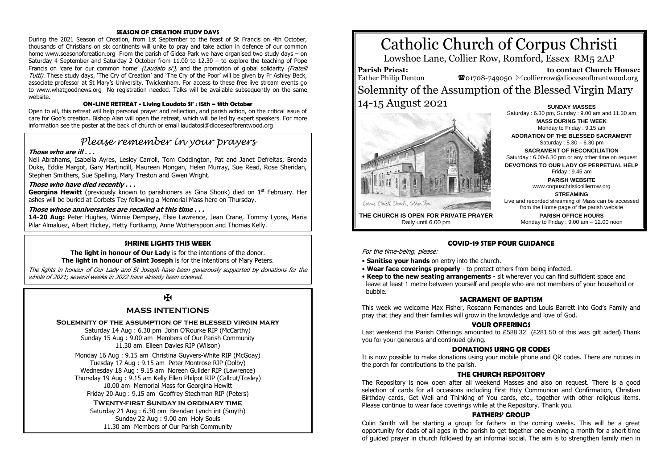#### **SEASON OF CREATION STUDY DAYS**

During the 2021 Season of Creation, from 1st September to the feast of St Francis on 4th October, thousands of Christians on six continents will unite to pray and take action in defence of our common home www.seasonofcreation.org From the parish of Gidea Park we have organised two study days – on Saturday 4 September and Saturday 2 October from 11.00 to 12.30 – to explore the teaching of Pope Francis on 'care for our common home' (Laudato  $s$ ), and the promotion of global solidarity (Fratelli Tutti). These study days, 'The Cry of Creation' and 'The Cry of the Poor' will be given by Fr Ashley Beck, associate professor at St Mary's University, Twickenham. For access to these free live stream events go to www.whatgoodnews.org No registration needed. Talks will be available subsequently on the same website.

#### **ON-LINE RETREAT - Living Laudato Si' : 15th – 18th October**

Open to all, this retreat will help personal prayer and reflection, and parish action, on the critical issue of care for God's creation. Bishop Alan will open the retreat, which will be led by expert speakers. For more information see the poster at the back of church or email laudatosi@dioceseofbrentwood.org

## *Please remember in your prayers*

#### **Those who are ill . . .**

Neil Abrahams, Isabella Ayres, Lesley Carroll, Tom Coddington, Pat and Janet Defreitas, Brenda Duke, Eddie Margot, Gary Martindill, Maureen Mongan, Helen Murray, Sue Read, Rose Sheridan, Stephen Smithers, Sue Spelling, Mary Treston and Gwen Wright.

#### **Those who have died recently . . .**

**Georgina Hewitt** (previously known to parishioners as Gina Shonk) died on 1<sup>st</sup> February. Her ashes will be buried at Corbets Tey following a Memorial Mass here on Thursday.

#### **Those whose anniversaries are recalled at this time . . .**

**14-20 Aug:** Peter Hughes, Winnie Dempsey, Elsie Lawrence, Jean Crane, Tommy Lyons, Maria Pilar Almaluez, Albert Hickey, Hetty Fortkamp, Anne Wotherspoon and Thomas Kelly.

#### **SHRINE LIGHTS THIS WEEK**

**The light in honour of Our Lady** is for the intentions of the donor. **The light in honour of Saint Joseph** is for the intentions of Mary Peters.

The lights in honour of Our Lady and St Joseph have been generously supported by donations for the whole of 2021; several weeks in 2022 have already been covered.

## $\boldsymbol{X}$

#### **MASS INTENTIONS**

#### **Solemnity of the assumption of the blessed virgin mary**

Saturday 14 Aug : 6.30 pm John O'Rourke RIP (McCarthy) Sunday 15 Aug : 9.00 am Members of Our Parish Community 11.30 am Eileen Davies RIP (Wilson)

Monday 16 Aug : 9.15 am Christina Guyvers-White RIP (McGoay) Tuesday 17 Aug : 9.15 am Peter Montrose RIP (Dolby) Wednesday 18 Aug : 9.15 am Noreen Guilder RIP (Lawrence) Thursday 19 Aug : 9.15 am Kelly Ellen Philpot RIP (Callcut/Tosley) 10.00 am Memorial Mass for Georgina Hewitt Friday 20 Aug : 9.15 am Geoffrey Stechman RIP (Peters)

**Twenty-first Sunday in ordinary time** Saturday 21 Aug : 6.30 pm Brendan Lynch int (Smyth) Sunday 22 Aug : 9.00 am Holy Souls 11.30 am Members of Our Parish Community

# Catholic Church of Corpus Christi

Lowshoe Lane, Collier Row, Romford, Essex RM5 2AP

#### **Parish Priest:** Father Philip Denton

 **to contact Church House:**  $\bullet$ 01708-749050  $\boxtimes$ collierrow@dioceseofbrentwood.org

> Saturday : 6.30 pm, Sunday : 9.00 am and 11.30 am **MASS DURING THE WEEK** Monday to Friday : 9.15 am

Solemnity of the Assumption of the Blessed Virgin Mary 14-15 August 2021 **SUNDAY MASSES**



## www.corpuschristicollierrow.org **STREAMING PARISH OFFICE HOURS**

**THE CHURCH IS OPEN FOR PRIVATE PRAYER** Daily until 6.00 pm

#### **COVID-19 STEP FOUR GUIDANCE**

For the time-being, please:

- **Sanitise your hands** on entry into the church.
- **Wear face coverings properly** to protect others from being infected.
- **Keep to the new seating arrangements** sit wherever you can find sufficient space and leave at least 1 metre between yourself and people who are not members of your household or bubble.

#### **SACRAMENT OF BAPTISM**

This week we welcome Max Fisher, Roseann Fernandes and Louis Barrett into God's Family and pray that they and their families will grow in the knowledge and love of God.

#### **YOUR OFFERINGS**

Last weekend the Parish Offerings amounted to £588.32 (£281.50 of this was gift aided).Thank you for your generous and continued giving.

#### **DONATIONS USING QR CODES**

It is now possible to make donations using your mobile phone and QR codes. There are notices in the porch for contributions to the parish.

#### **THE CHURCH REPOSITORY**

The Repository is now open after all weekend Masses and also on request. There is a good selection of cards for all occasions including First Holy Communion and Confirmation, Christian Birthday cards, Get Well and Thinking of You cards, etc., together with other religious items. Please continue to wear face coverings while at the Repository. Thank you.

#### **FATHERS' GROUP**

Colin Smith will be starting a group for fathers in the coming weeks. This will be a great opportunity for dads of all ages in the parish to get together one evening a month for a short time of guided prayer in church followed by an informal social. The aim is to strengthen family men in

**ADORATION OF THE BLESSED SACRAMENT** Saturday : 5.30 – 6.30 pm **SACRAMENT OF RECONCILIATION** Saturday : 6.00-6.30 pm or any other time on request **DEVOTIONS TO OUR LADY OF PERPETUAL HELP** Friday : 9.45 am **PARISH WEBSITE** Live and recorded streaming of Mass can be accessed from the Home page of the parish website Monday to Friday : 9.00 am – 12.00 noon